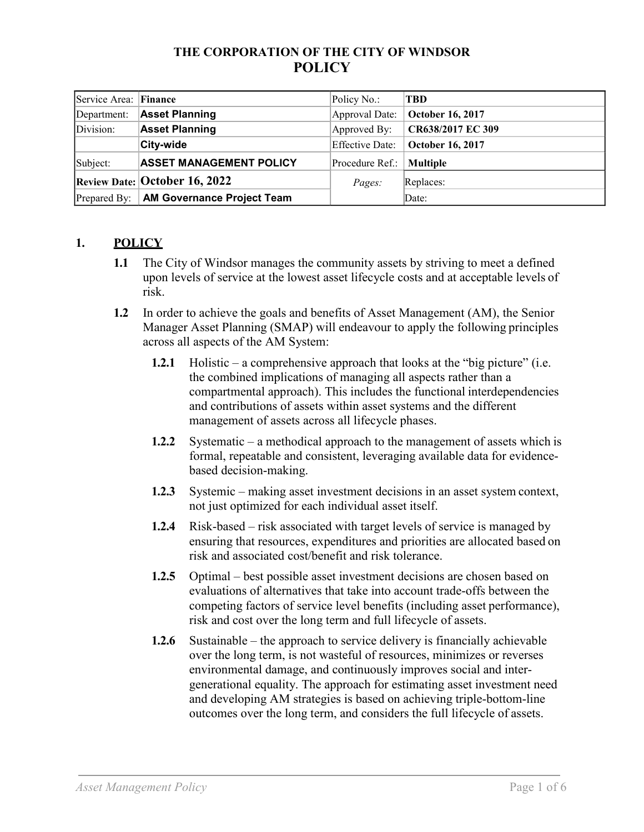### **THE CORPORATION OF THE CITY OF WINDSOR POLICY**

| Service Area: Finance |                                      | Policy No.:            | <b>TBD</b>              |
|-----------------------|--------------------------------------|------------------------|-------------------------|
| Department:           | <b>Asset Planning</b>                | Approval Date:         | <b>October 16, 2017</b> |
| Division:             | <b>Asset Planning</b>                | Approved By:           | CR638/2017 EC 309       |
|                       | <b>City-wide</b>                     | <b>Effective Date:</b> | October 16, 2017        |
| Subject:              | <b>ASSET MANAGEMENT POLICY</b>       | Procedure Ref.:        | <b>Multiple</b>         |
|                       | <b>Review Date: October 16, 2022</b> | <i>Pages:</i>          | Replaces:               |
| Prepared By:          | <b>AM Governance Project Team</b>    |                        | Date:                   |

## **1. POLICY**

- **1.1** The City of Windsor manages the community assets by striving to meet a defined upon levels of service at the lowest asset lifecycle costs and at acceptable levels of risk.
- **1.2** In order to achieve the goals and benefits of Asset Management (AM), the Senior Manager Asset Planning (SMAP) will endeavour to apply the following principles across all aspects of the AM System:
	- **1.2.1** Holistic a comprehensive approach that looks at the "big picture" (i.e. the combined implications of managing all aspects rather than a compartmental approach). This includes the functional interdependencies and contributions of assets within asset systems and the different management of assets across all lifecycle phases.
	- **1.2.2** Systematic a methodical approach to the management of assets which is formal, repeatable and consistent, leveraging available data for evidencebased decision-making.
	- **1.2.3** Systemic making asset investment decisions in an asset system context, not just optimized for each individual asset itself.
	- **1.2.4** Risk-based risk associated with target levels of service is managed by ensuring that resources, expenditures and priorities are allocated based on risk and associated cost/benefit and risk tolerance.
	- **1.2.5** Optimal best possible asset investment decisions are chosen based on evaluations of alternatives that take into account trade-offs between the competing factors of service level benefits (including asset performance), risk and cost over the long term and full lifecycle of assets.
	- **1.2.6** Sustainable the approach to service delivery is financially achievable over the long term, is not wasteful of resources, minimizes or reverses environmental damage, and continuously improves social and intergenerational equality. The approach for estimating asset investment need and developing AM strategies is based on achieving triple-bottom-line outcomes over the long term, and considers the full lifecycle of assets.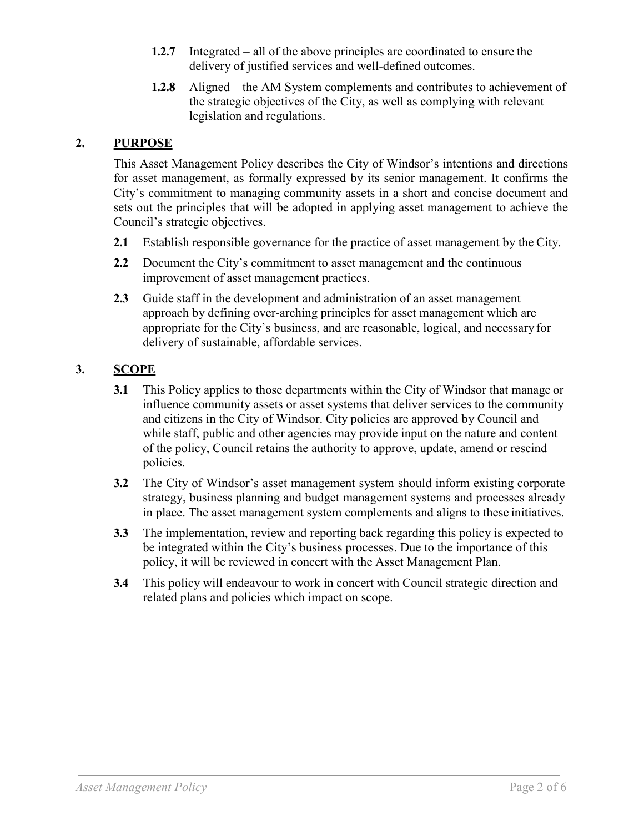- **1.2.7** Integrated all of the above principles are coordinated to ensure the delivery of justified services and well-defined outcomes.
- **1.2.8** Aligned the AM System complements and contributes to achievement of the strategic objectives of the City, as well as complying with relevant legislation and regulations.

### **2. PURPOSE**

This Asset Management Policy describes the City of Windsor's intentions and directions for asset management, as formally expressed by its senior management. It confirms the City's commitment to managing community assets in a short and concise document and sets out the principles that will be adopted in applying asset management to achieve the Council's strategic objectives.

- **2.1** Establish responsible governance for the practice of asset management by the City.
- **2.2** Document the City's commitment to asset management and the continuous improvement of asset management practices.
- **2.3** Guide staff in the development and administration of an asset management approach by defining over-arching principles for asset management which are appropriate for the City's business, and are reasonable, logical, and necessary for delivery of sustainable, affordable services.

## **3. SCOPE**

- **3.1** This Policy applies to those departments within the City of Windsor that manage or influence community assets or asset systems that deliver services to the community and citizens in the City of Windsor. City policies are approved by Council and while staff, public and other agencies may provide input on the nature and content of the policy, Council retains the authority to approve, update, amend or rescind policies.
- **3.2** The City of Windsor's asset management system should inform existing corporate strategy, business planning and budget management systems and processes already in place. The asset management system complements and aligns to these initiatives.
- **3.3** The implementation, review and reporting back regarding this policy is expected to be integrated within the City's business processes. Due to the importance of this policy, it will be reviewed in concert with the Asset Management Plan.
- **3.4** This policy will endeavour to work in concert with Council strategic direction and related plans and policies which impact on scope.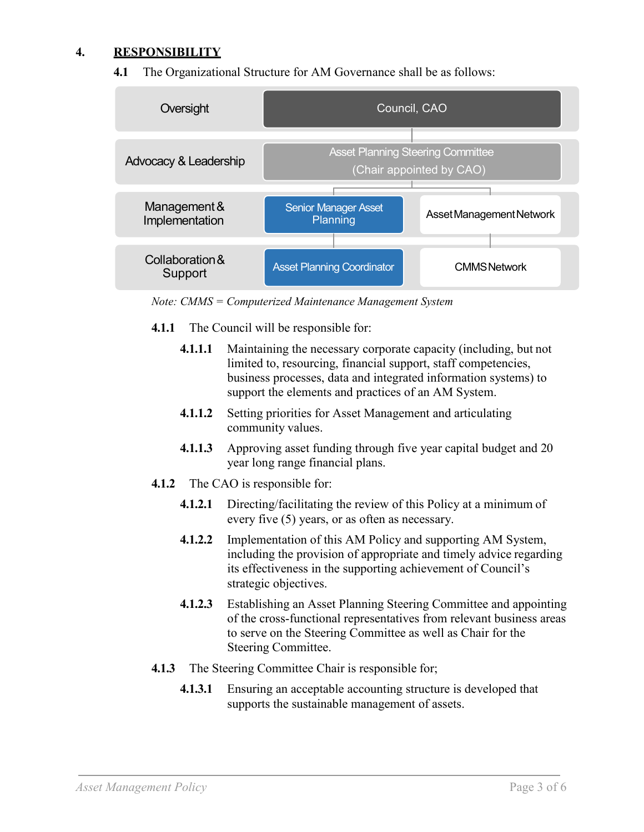#### **4. RESPONSIBILITY**

#### **4.1** The Organizational Structure for AM Governance shall be as follows:



*Note: CMMS = Computerized Maintenance Management System*

- **4.1.1** The Council will be responsible for:
	- **4.1.1.1** Maintaining the necessary corporate capacity (including, but not limited to, resourcing, financial support, staff competencies, business processes, data and integrated information systems) to support the elements and practices of an AM System.
	- **4.1.1.2** Setting priorities for Asset Management and articulating community values.
	- **4.1.1.3** Approving asset funding through five year capital budget and 20 year long range financial plans.
- **4.1.2** The CAO is responsible for:
	- **4.1.2.1** Directing/facilitating the review of this Policy at a minimum of every five (5) years, or as often as necessary.
	- **4.1.2.2** Implementation of this AM Policy and supporting AM System, including the provision of appropriate and timely advice regarding its effectiveness in the supporting achievement of Council's strategic objectives.
	- **4.1.2.3** Establishing an Asset Planning Steering Committee and appointing of the cross-functional representatives from relevant business areas to serve on the Steering Committee as well as Chair for the Steering Committee.
- **4.1.3** The Steering Committee Chair is responsible for;
	- **4.1.3.1** Ensuring an acceptable accounting structure is developed that supports the sustainable management of assets.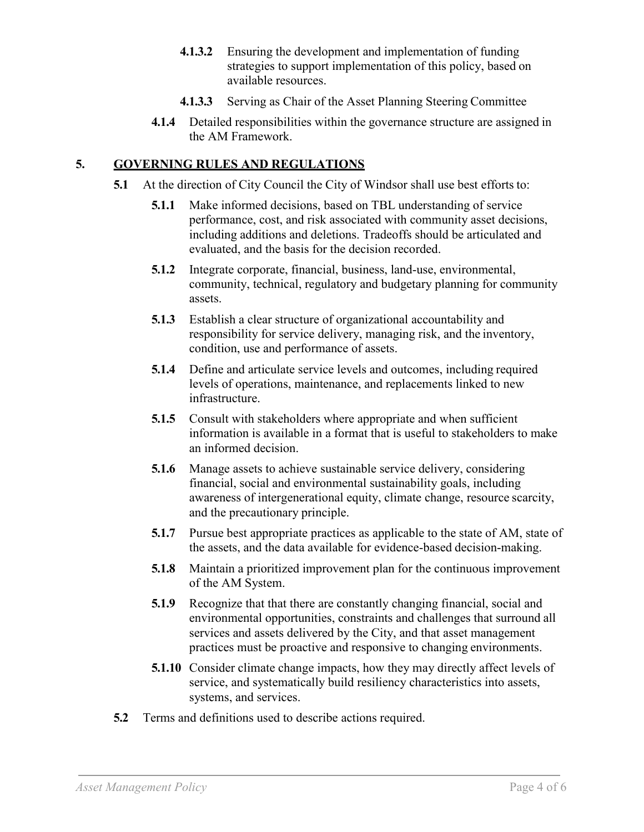- **4.1.3.2** Ensuring the development and implementation of funding strategies to support implementation of this policy, based on available resources.
- **4.1.3.3** Serving as Chair of the Asset Planning Steering Committee
- **4.1.4** Detailed responsibilities within the governance structure are assigned in the AM Framework.

## **5. GOVERNING RULES AND REGULATIONS**

- **5.1** At the direction of City Council the City of Windsor shall use best efforts to:
	- **5.1.1** Make informed decisions, based on TBL understanding of service performance, cost, and risk associated with community asset decisions, including additions and deletions. Tradeoffs should be articulated and evaluated, and the basis for the decision recorded.
	- **5.1.2** Integrate corporate, financial, business, land-use, environmental, community, technical, regulatory and budgetary planning for community assets.
	- **5.1.3** Establish a clear structure of organizational accountability and responsibility for service delivery, managing risk, and the inventory, condition, use and performance of assets.
	- **5.1.4** Define and articulate service levels and outcomes, including required levels of operations, maintenance, and replacements linked to new infrastructure.
	- **5.1.5** Consult with stakeholders where appropriate and when sufficient information is available in a format that is useful to stakeholders to make an informed decision.
	- **5.1.6** Manage assets to achieve sustainable service delivery, considering financial, social and environmental sustainability goals, including awareness of intergenerational equity, climate change, resource scarcity, and the precautionary principle.
	- **5.1.7** Pursue best appropriate practices as applicable to the state of AM, state of the assets, and the data available for evidence-based decision-making.
	- **5.1.8** Maintain a prioritized improvement plan for the continuous improvement of the AM System.
	- **5.1.9** Recognize that that there are constantly changing financial, social and environmental opportunities, constraints and challenges that surround all services and assets delivered by the City, and that asset management practices must be proactive and responsive to changing environments.
	- **5.1.10** Consider climate change impacts, how they may directly affect levels of service, and systematically build resiliency characteristics into assets, systems, and services.
- **5.2** Terms and definitions used to describe actions required.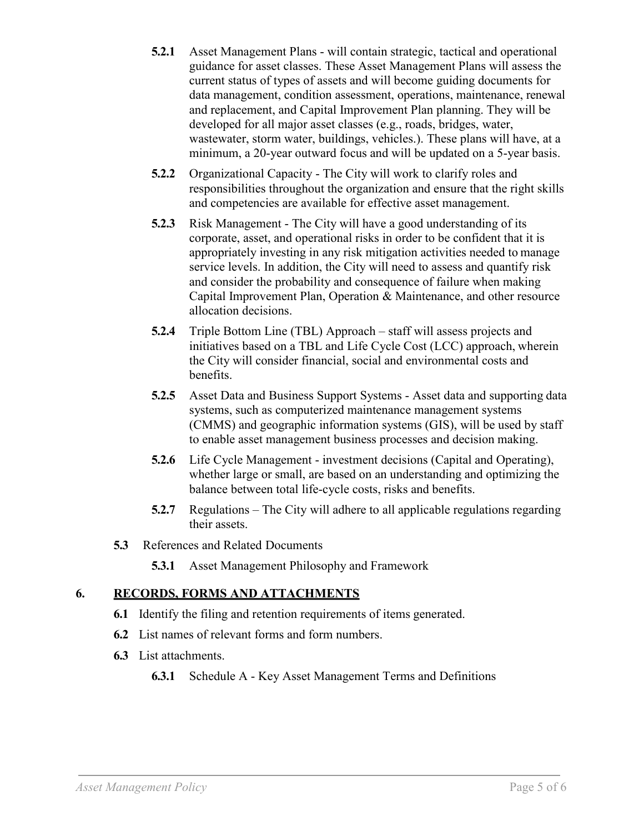- **5.2.1** Asset Management Plans will contain strategic, tactical and operational guidance for asset classes. These Asset Management Plans will assess the current status of types of assets and will become guiding documents for data management, condition assessment, operations, maintenance, renewal and replacement, and Capital Improvement Plan planning. They will be developed for all major asset classes (e.g., roads, bridges, water, wastewater, storm water, buildings, vehicles.). These plans will have, at a minimum, a 20-year outward focus and will be updated on a 5-year basis.
- **5.2.2** Organizational Capacity The City will work to clarify roles and responsibilities throughout the organization and ensure that the right skills and competencies are available for effective asset management.
- **5.2.3** Risk Management The City will have a good understanding of its corporate, asset, and operational risks in order to be confident that it is appropriately investing in any risk mitigation activities needed to manage service levels. In addition, the City will need to assess and quantify risk and consider the probability and consequence of failure when making Capital Improvement Plan, Operation & Maintenance, and other resource allocation decisions.
- **5.2.4** Triple Bottom Line (TBL) Approach staff will assess projects and initiatives based on a TBL and Life Cycle Cost (LCC) approach, wherein the City will consider financial, social and environmental costs and benefits.
- **5.2.5** Asset Data and Business Support Systems Asset data and supporting data systems, such as computerized maintenance management systems (CMMS) and geographic information systems (GIS), will be used by staff to enable asset management business processes and decision making.
- **5.2.6** Life Cycle Management investment decisions (Capital and Operating), whether large or small, are based on an understanding and optimizing the balance between total life-cycle costs, risks and benefits.
- **5.2.7** Regulations The City will adhere to all applicable regulations regarding their assets.
- **5.3** References and Related Documents
	- **5.3.1** Asset Management Philosophy and Framework

## **6. RECORDS, FORMS AND ATTACHMENTS**

- **6.1** Identify the filing and retention requirements of items generated.
- **6.2** List names of relevant forms and form numbers.
- **6.3** List attachments.
	- **6.3.1** Schedule A Key Asset Management Terms and Definitions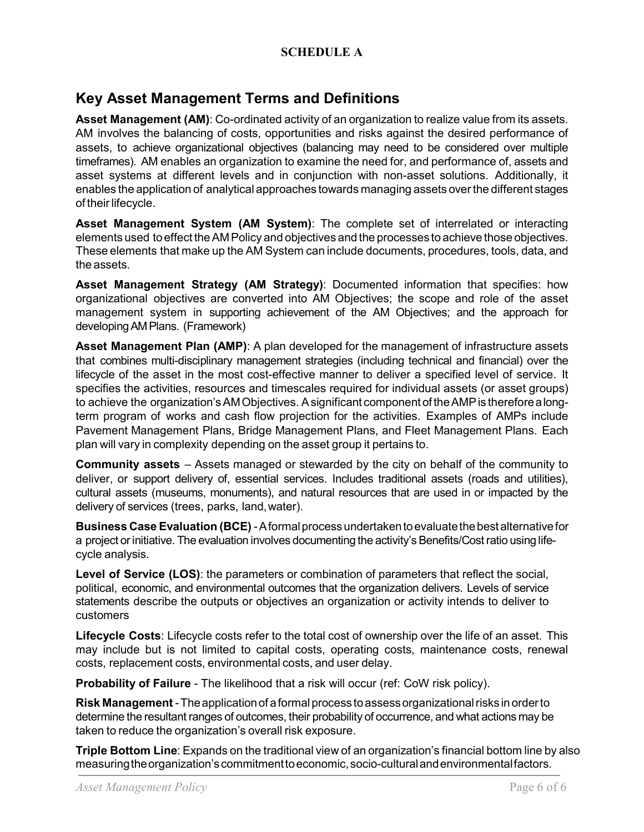### **SCHEDULE A**

# **Key Asset Management Terms and Definitions**

**Asset Management (AM)**: Co-ordinated activity of an organization to realize value from its assets. AM involves the balancing of costs, opportunities and risks against the desired performance of assets, to achieve organizational objectives (balancing may need to be considered over multiple timeframes). AM enables an organization to examine the need for, and performance of, assets and asset systems at different levels and in conjunction with non-asset solutions. Additionally, it enables the application of analytical approaches towards managing assets over the different stages of their lifecycle.

**Asset Management System (AM System)**: The complete set of interrelated or interacting elements used to effect theAM Policy and objectives and the processes to achieve those objectives. These elements that make up the AM System can include documents, procedures, tools, data, and the assets.

**Asset Management Strategy (AM Strategy)**: Documented information that specifies: how organizational objectives are converted into AM Objectives; the scope and role of the asset management system in supporting achievement of the AM Objectives; and the approach for developingAMPlans. (Framework)

**Asset Management Plan (AMP)**: A plan developed for the management of infrastructure assets that combines multi-disciplinary management strategies (including technical and financial) over the lifecycle of the asset in the most cost-effective manner to deliver a specified level of service. It specifies the activities, resources and timescales required for individual assets (or asset groups) to achieve the organization's AM Objectives. A significant component of the AMP is therefore a longterm program of works and cash flow projection for the activities. Examples of AMPs include Pavement Management Plans, Bridge Management Plans, and Fleet Management Plans. Each plan will vary in complexity depending on the asset group it pertains to.

**Community assets** – Assets managed or stewarded by the city on behalf of the community to deliver, or support delivery of, essential services. Includes traditional assets (roads and utilities), cultural assets (museums, monuments), and natural resources that are used in or impacted by the delivery of services (trees, parks, land,water).

**Business Case Evaluation (BCE)** -Aformalprocessundertakentoevaluatethebestalternativefor a project or initiative. The evaluation involves documenting the activity's Benefits/Cost ratio using lifecycle analysis.

**Level of Service (LOS)**: the parameters or combination of parameters that reflect the social, political, economic, and environmental outcomes that the organization delivers. Levels of service statements describe the outputs or objectives an organization or activity intends to deliver to customers

**Lifecycle Costs**: Lifecycle costs refer to the total cost of ownership over the life of an asset. This may include but is not limited to capital costs, operating costs, maintenance costs, renewal costs, replacement costs, environmental costs, and user delay.

**Probability of Failure** - The likelihood that a risk will occur (ref: CoW risk policy).

**Risk Management** -Theapplicationof aformalprocess toassessorganizationalrisks inorderto determine the resultant ranges of outcomes, their probability of occurrence, and what actions may be taken to reduce the organization's overall risk exposure.

**Triple Bottom Line**: Expands on the traditional view of an organization's financial bottom line by also measuringtheorganization'scommitmenttoeconomic,socio-culturalandenvironmentalfactors.